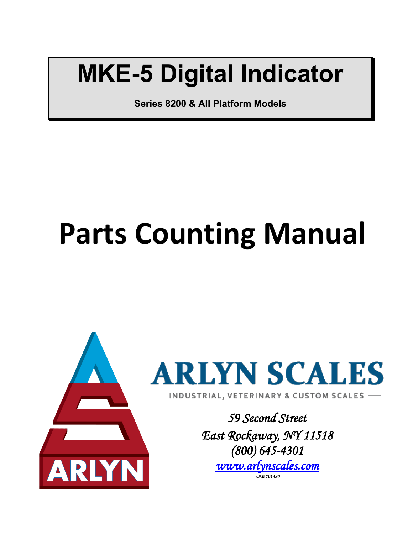## **MKE-5 Digital Indicator**

**Series 8200 & All Platform Models**

# **Parts Counting Manual**





*59 Second Street East Rockaway, NY 11518 (800) 645-4301 [www.arlynscales.com](http://www.arlynscales.com/)  v3.0.101420*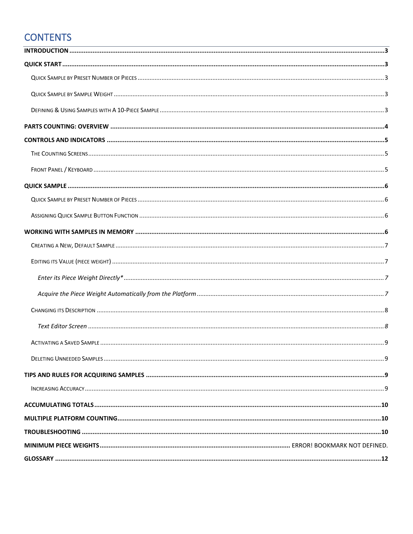## **CONTENTS**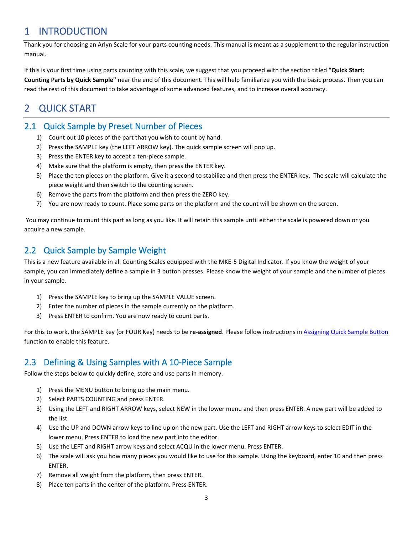## <span id="page-2-0"></span>1 INTRODUCTION

Thank you for choosing an Arlyn Scale for your parts counting needs. This manual is meant as a supplement to the regular instruction manual.

If this is your first time using parts counting with this scale, we suggest that you proceed with the section titled **"Quick Start: Counting Parts by Quick Sample"** near the end of this document. This will help familiarize you with the basic process. Then you can read the rest of this document to take advantage of some advanced features, and to increase overall accuracy.

## <span id="page-2-1"></span>2 QUICK START

#### <span id="page-2-2"></span>2.1 Quick Sample by Preset Number of Pieces

- 1) Count out 10 pieces of the part that you wish to count by hand.
- 2) Press the SAMPLE key (the LEFT ARROW key). The quick sample screen will pop up.
- 3) Press the ENTER key to accept a ten-piece sample.
- 4) Make sure that the platform is empty, then press the ENTER key.
- 5) Place the ten pieces on the platform. Give it a second to stabilize and then press the ENTER key. The scale will calculate the piece weight and then switch to the counting screen.
- 6) Remove the parts from the platform and then press the ZERO key.
- 7) You are now ready to count. Place some parts on the platform and the count will be shown on the screen.

You may continue to count this part as long as you like. It will retain this sample until either the scale is powered down or you acquire a new sample.

#### <span id="page-2-3"></span>2.2 Quick Sample by Sample Weight

This is a new feature available in all Counting Scales equipped with the MKE-5 Digital Indicator. If you know the weight of your sample, you can immediately define a sample in 3 button presses. Please know the weight of your sample and the number of pieces in your sample.

- 1) Press the SAMPLE key to bring up the SAMPLE VALUE screen.
- 2) Enter the number of pieces in the sample currently on the platform.
- 3) Press ENTER to confirm. You are now ready to count parts.

For this to work, the SAMPLE key (or FOUR Key) needs to be **re-assigned**. Please follow instructions in [Assigning Quick Sample Button](#page-5-2) function to enable this feature.

#### <span id="page-2-4"></span>2.3 Defining & Using Samples with A 10-Piece Sample

Follow the steps below to quickly define, store and use parts in memory.

- 1) Press the MENU button to bring up the main menu.
- 2) Select PARTS COUNTING and press ENTER.
- 3) Using the LEFT and RIGHT ARROW keys, select NEW in the lower menu and then press ENTER. A new part will be added to the list.
- 4) Use the UP and DOWN arrow keys to line up on the new part. Use the LEFT and RIGHT arrow keys to select EDIT in the lower menu. Press ENTER to load the new part into the editor.
- 5) Use the LEFT and RIGHT arrow keys and select ACQU in the lower menu. Press ENTER.
- 6) The scale will ask you how many pieces you would like to use for this sample. Using the keyboard, enter 10 and then press ENTER.
- 7) Remove all weight from the platform, then press ENTER.
- 8) Place ten parts in the center of the platform. Press ENTER.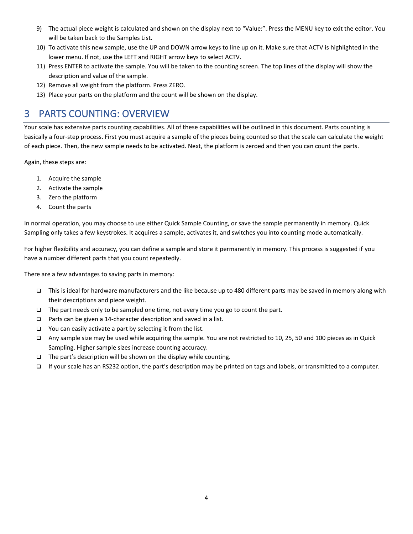- 9) The actual piece weight is calculated and shown on the display next to "Value:". Press the MENU key to exit the editor. You will be taken back to the Samples List.
- 10) To activate this new sample, use the UP and DOWN arrow keys to line up on it. Make sure that ACTV is highlighted in the lower menu. If not, use the LEFT and RIGHT arrow keys to select ACTV.
- 11) Press ENTER to activate the sample. You will be taken to the counting screen. The top lines of the display will show the description and value of the sample.
- 12) Remove all weight from the platform. Press ZERO.
- 13) Place your parts on the platform and the count will be shown on the display.

## <span id="page-3-0"></span>3 PARTS COUNTING: OVERVIEW

Your scale has extensive parts counting capabilities. All of these capabilities will be outlined in this document. Parts counting is basically a four-step process. First you must acquire a sample of the pieces being counted so that the scale can calculate the weight of each piece. Then, the new sample needs to be activated. Next, the platform is zeroed and then you can count the parts.

Again, these steps are:

- 1. Acquire the sample
- 2. Activate the sample
- 3. Zero the platform
- 4. Count the parts

In normal operation, you may choose to use either Quick Sample Counting, or save the sample permanently in memory. Quick Sampling only takes a few keystrokes. It acquires a sample, activates it, and switches you into counting mode automatically.

For higher flexibility and accuracy, you can define a sample and store it permanently in memory. This process is suggested if you have a number different parts that you count repeatedly.

There are a few advantages to saving parts in memory:

- ❑ This is ideal for hardware manufacturers and the like because up to 480 different parts may be saved in memory along with their descriptions and piece weight.
- ❑ The part needs only to be sampled one time, not every time you go to count the part.
- ❑ Parts can be given a 14-character description and saved in a list.
- ❑ You can easily activate a part by selecting it from the list.
- ❑ Any sample size may be used while acquiring the sample. You are not restricted to 10, 25, 50 and 100 pieces as in Quick Sampling. Higher sample sizes increase counting accuracy.
- ❑ The part's description will be shown on the display while counting.
- ❑ If your scale has an RS232 option, the part's description may be printed on tags and labels, or transmitted to a computer.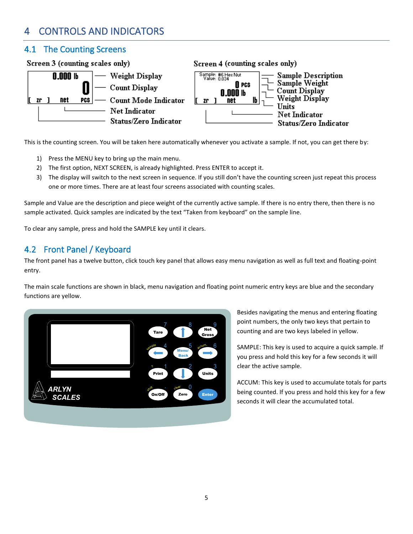## <span id="page-4-0"></span>4 CONTROLS AND INDICATORS

#### <span id="page-4-1"></span>4.1 The Counting Screens



This is the counting screen. You will be taken here automatically whenever you activate a sample. If not, you can get there by:

- 1) Press the MENU key to bring up the main menu.
- 2) The first option, NEXT SCREEN, is already highlighted. Press ENTER to accept it.
- 3) The display will switch to the next screen in sequence. If you still don't have the counting screen just repeat this process one or more times. There are at least four screens associated with counting scales.

Sample and Value are the description and piece weight of the currently active sample. If there is no entry there, then there is no sample activated. Quick samples are indicated by the text "Taken from keyboard" on the sample line.

To clear any sample, press and hold the SAMPLE key until it clears.

### <span id="page-4-2"></span>4.2 Front Panel / Keyboard

The front panel has a twelve button, click touch key panel that allows easy menu navigation as well as full text and floating-point entry.

The main scale functions are shown in black, menu navigation and floating point numeric entry keys are blue and the secondary functions are yellow.



Besides navigating the menus and entering floating point numbers, the only two keys that pertain to counting and are two keys labeled in yellow.

SAMPLE: This key is used to acquire a quick sample. If you press and hold this key for a few seconds it will clear the active sample.

ACCUM: This key is used to accumulate totals for parts being counted. If you press and hold this key for a few seconds it will clear the accumulated total.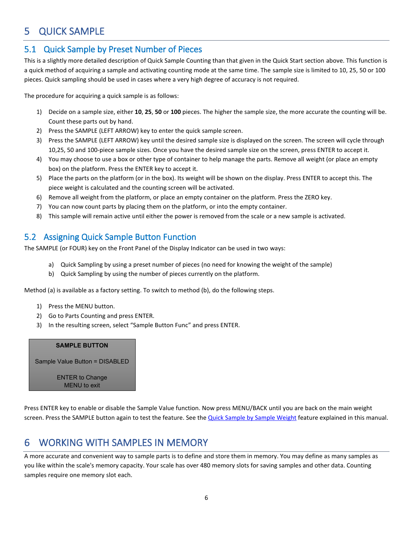## <span id="page-5-0"></span>5 QUICK SAMPLE

#### <span id="page-5-1"></span>5.1 Quick Sample by Preset Number of Pieces

This is a slightly more detailed description of Quick Sample Counting than that given in the Quick Start section above. This function is a quick method of acquiring a sample and activating counting mode at the same time. The sample size is limited to 10, 25, 50 or 100 pieces. Quick sampling should be used in cases where a very high degree of accuracy is not required.

The procedure for acquiring a quick sample is as follows:

- 1) Decide on a sample size, either **10**, **25**, **50** or **100** pieces. The higher the sample size, the more accurate the counting will be. Count these parts out by hand.
- 2) Press the SAMPLE (LEFT ARROW) key to enter the quick sample screen.
- 3) Press the SAMPLE (LEFT ARROW) key until the desired sample size is displayed on the screen. The screen will cycle through 10,25, 50 and 100-piece sample sizes. Once you have the desired sample size on the screen, press ENTER to accept it.
- 4) You may choose to use a box or other type of container to help manage the parts. Remove all weight (or place an empty box) on the platform. Press the ENTER key to accept it.
- 5) Place the parts on the platform (or in the box). Its weight will be shown on the display. Press ENTER to accept this. The piece weight is calculated and the counting screen will be activated.
- 6) Remove all weight from the platform, or place an empty container on the platform. Press the ZERO key.
- 7) You can now count parts by placing them on the platform, or into the empty container.
- 8) This sample will remain active until either the power is removed from the scale or a new sample is activated.

#### <span id="page-5-2"></span>5.2 Assigning Quick Sample Button Function

The SAMPLE (or FOUR) key on the Front Panel of the Display Indicator can be used in two ways:

- a) Quick Sampling by using a preset number of pieces (no need for knowing the weight of the sample)
- b) Quick Sampling by using the number of pieces currently on the platform.

Method (a) is available as a factory setting. To switch to method (b), do the following steps.

- 1) Press the MENU button.
- 2) Go to Parts Counting and press ENTER.
- 3) In the resulting screen, select "Sample Button Func" and press ENTER.

#### **SAMPLE BUTTON**

Sample Value Button = DISABLED

ENTER to Change MENU to exit

Press ENTER key to enable or disable the Sample Value function. Now press MENU/BACK until you are back on the main weight screen. Press the SAMPLE button again to test the feature. See th[e Quick Sample by Sample Weight](#page-2-3) feature explained in this manual.

## <span id="page-5-3"></span>6 WORKING WITH SAMPLES IN MEMORY

A more accurate and convenient way to sample parts is to define and store them in memory. You may define as many samples as you like within the scale's memory capacity. Your scale has over 480 memory slots for saving samples and other data. Counting samples require one memory slot each.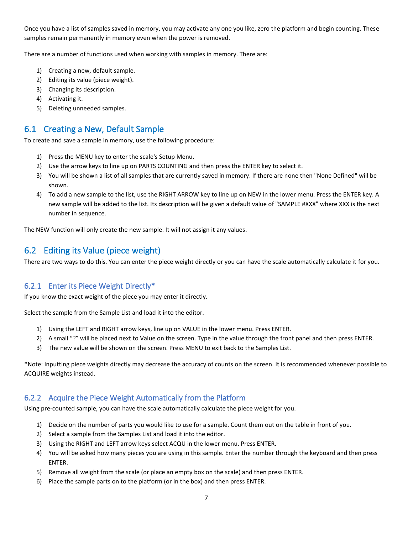Once you have a list of samples saved in memory, you may activate any one you like, zero the platform and begin counting. These samples remain permanently in memory even when the power is removed.

There are a number of functions used when working with samples in memory. There are:

- 1) Creating a new, default sample.
- 2) Editing its value (piece weight).
- 3) Changing its description.
- 4) Activating it.
- 5) Deleting unneeded samples.

#### <span id="page-6-0"></span>6.1 Creating a New, Default Sample

To create and save a sample in memory, use the following procedure:

- 1) Press the MENU key to enter the scale's Setup Menu.
- 2) Use the arrow keys to line up on PARTS COUNTING and then press the ENTER key to select it.
- 3) You will be shown a list of all samples that are currently saved in memory. If there are none then "None Defined" will be shown.
- 4) To add a new sample to the list, use the RIGHT ARROW key to line up on NEW in the lower menu. Press the ENTER key. A new sample will be added to the list. Its description will be given a default value of "SAMPLE #XXX" where XXX is the next number in sequence.

The NEW function will only create the new sample. It will not assign it any values.

#### <span id="page-6-1"></span>6.2 Editing its Value (piece weight)

There are two ways to do this. You can enter the piece weight directly or you can have the scale automatically calculate it for you.

#### <span id="page-6-2"></span>6.2.1 Enter its Piece Weight Directly\*

If you know the exact weight of the piece you may enter it directly.

Select the sample from the Sample List and load it into the editor.

- 1) Using the LEFT and RIGHT arrow keys, line up on VALUE in the lower menu. Press ENTER.
- 2) A small "?" will be placed next to Value on the screen. Type in the value through the front panel and then press ENTER.
- 3) The new value will be shown on the screen. Press MENU to exit back to the Samples List.

\*Note: Inputting piece weights directly may decrease the accuracy of counts on the screen. It is recommended whenever possible to ACQUIRE weights instead.

#### <span id="page-6-3"></span>6.2.2 Acquire the Piece Weight Automatically from the Platform

Using pre-counted sample, you can have the scale automatically calculate the piece weight for you.

- 1) Decide on the number of parts you would like to use for a sample. Count them out on the table in front of you.
- 2) Select a sample from the Samples List and load it into the editor.
- 3) Using the RIGHT and LEFT arrow keys select ACQU in the lower menu. Press ENTER.
- 4) You will be asked how many pieces you are using in this sample. Enter the number through the keyboard and then press ENTER.
- 5) Remove all weight from the scale (or place an empty box on the scale) and then press ENTER.
- 6) Place the sample parts on to the platform (or in the box) and then press ENTER.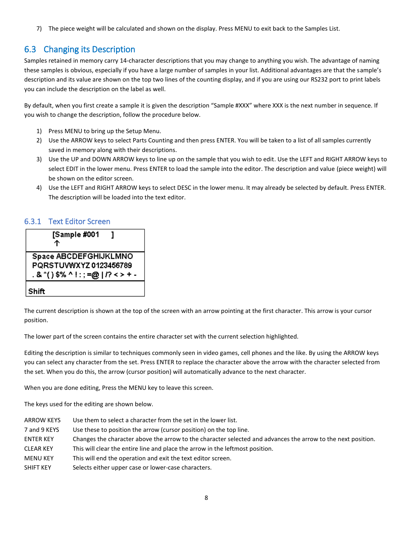7) The piece weight will be calculated and shown on the display. Press MENU to exit back to the Samples List.

#### <span id="page-7-0"></span>6.3 Changing its Description

Samples retained in memory carry 14-character descriptions that you may change to anything you wish. The advantage of naming these samples is obvious, especially if you have a large number of samples in your list. Additional advantages are that the sample's description and its value are shown on the top two lines of the counting display, and if you are using our RS232 port to print labels you can include the description on the label as well.

By default, when you first create a sample it is given the description "Sample #XXX" where XXX is the next number in sequence. If you wish to change the description, follow the procedure below.

- 1) Press MENU to bring up the Setup Menu.
- 2) Use the ARROW keys to select Parts Counting and then press ENTER. You will be taken to a list of all samples currently saved in memory along with their descriptions.
- 3) Use the UP and DOWN ARROW keys to line up on the sample that you wish to edit. Use the LEFT and RIGHT ARROW keys to select EDIT in the lower menu. Press ENTER to load the sample into the editor. The description and value (piece weight) will be shown on the editor screen.
- 4) Use the LEFT and RIGHT ARROW keys to select DESC in the lower menu. It may already be selected by default. Press ENTER. The description will be loaded into the text editor.

#### <span id="page-7-1"></span>6.3.1 Text Editor Screen



The current description is shown at the top of the screen with an arrow pointing at the first character. This arrow is your cursor position.

The lower part of the screen contains the entire character set with the current selection highlighted.

Editing the description is similar to techniques commonly seen in video games, cell phones and the like. By using the ARROW keys you can select any character from the set. Press ENTER to replace the character above the arrow with the character selected from the set. When you do this, the arrow (cursor position) will automatically advance to the next character.

When you are done editing, Press the MENU key to leave this screen.

The keys used for the editing are shown below.

| ARROW KEYS       | Use them to select a character from the set in the lower list.                                               |
|------------------|--------------------------------------------------------------------------------------------------------------|
| 7 and 9 KEYS     | Use these to position the arrow (cursor position) on the top line.                                           |
| <b>ENTER KEY</b> | Changes the character above the arrow to the character selected and advances the arrow to the next position. |
| <b>CLEAR KEY</b> | This will clear the entire line and place the arrow in the leftmost position.                                |
| <b>MENU KEY</b>  | This will end the operation and exit the text editor screen.                                                 |
| SHIFT KEY        | Selects either upper case or lower-case characters.                                                          |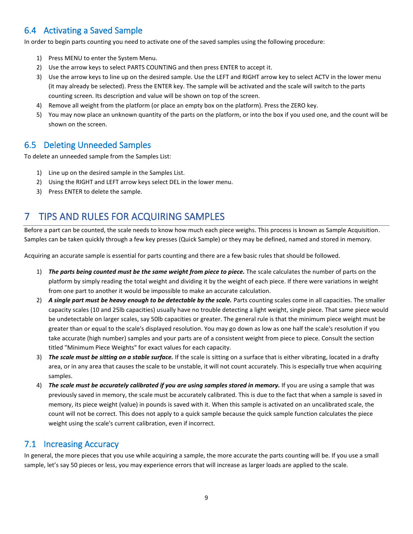## <span id="page-8-0"></span>6.4 Activating a Saved Sample

In order to begin parts counting you need to activate one of the saved samples using the following procedure:

- 1) Press MENU to enter the System Menu.
- 2) Use the arrow keys to select PARTS COUNTING and then press ENTER to accept it.
- 3) Use the arrow keys to line up on the desired sample. Use the LEFT and RIGHT arrow key to select ACTV in the lower menu (it may already be selected). Press the ENTER key. The sample will be activated and the scale will switch to the parts counting screen. Its description and value will be shown on top of the screen.
- 4) Remove all weight from the platform (or place an empty box on the platform). Press the ZERO key.
- 5) You may now place an unknown quantity of the parts on the platform, or into the box if you used one, and the count will be shown on the screen.

#### <span id="page-8-1"></span>6.5 Deleting Unneeded Samples

To delete an unneeded sample from the Samples List:

- 1) Line up on the desired sample in the Samples List.
- 2) Using the RIGHT and LEFT arrow keys select DEL in the lower menu.
- 3) Press ENTER to delete the sample.

## <span id="page-8-2"></span>7 TIPS AND RULES FOR ACQUIRING SAMPLES

Before a part can be counted, the scale needs to know how much each piece weighs. This process is known as Sample Acquisition. Samples can be taken quickly through a few key presses (Quick Sample) or they may be defined, named and stored in memory.

Acquiring an accurate sample is essential for parts counting and there are a few basic rules that should be followed.

- 1) *The parts being counted must be the same weight from piece to piece.* The scale calculates the number of parts on the platform by simply reading the total weight and dividing it by the weight of each piece. If there were variations in weight from one part to another it would be impossible to make an accurate calculation.
- 2) *A single part must be heavy enough to be detectable by the scale.* Parts counting scales come in all capacities. The smaller capacity scales (10 and 25lb capacities) usually have no trouble detecting a light weight, single piece. That same piece would be undetectable on larger scales, say 50lb capacities or greater. The general rule is that the minimum piece weight must be greater than or equal to the scale's displayed resolution. You may go down as low as one half the scale's resolution if you take accurate (high number) samples and your parts are of a consistent weight from piece to piece. Consult the section titled "Minimum Piece Weights" for exact values for each capacity.
- 3) *The scale must be sitting on a stable surface.* If the scale is sitting on a surface that is either vibrating, located in a drafty area, or in any area that causes the scale to be unstable, it will not count accurately. This is especially true when acquiring samples.
- 4) *The scale must be accurately calibrated if you are using samples stored in memory.* If you are using a sample that was previously saved in memory, the scale must be accurately calibrated. This is due to the fact that when a sample is saved in memory, its piece weight (value) in pounds is saved with it. When this sample is activated on an uncalibrated scale, the count will not be correct. This does not apply to a quick sample because the quick sample function calculates the piece weight using the scale's current calibration, even if incorrect.

#### <span id="page-8-3"></span>7.1 Increasing Accuracy

In general, the more pieces that you use while acquiring a sample, the more accurate the parts counting will be. If you use a small sample, let's say 50 pieces or less, you may experience errors that will increase as larger loads are applied to the scale.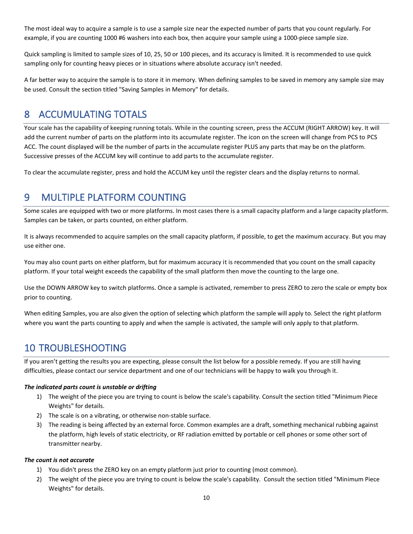The most ideal way to acquire a sample is to use a sample size near the expected number of parts that you count regularly. For example, if you are counting 1000 #6 washers into each box, then acquire your sample using a 1000-piece sample size.

Quick sampling is limited to sample sizes of 10, 25, 50 or 100 pieces, and its accuracy is limited. It is recommended to use quick sampling only for counting heavy pieces or in situations where absolute accuracy isn't needed.

A far better way to acquire the sample is to store it in memory. When defining samples to be saved in memory any sample size may be used. Consult the section titled "Saving Samples in Memory" for details.

## <span id="page-9-0"></span>8 ACCUMULATING TOTALS

Your scale has the capability of keeping running totals. While in the counting screen, press the ACCUM (RIGHT ARROW) key. It will add the current number of parts on the platform into its accumulate register. The icon on the screen will change from PCS to PCS ACC. The count displayed will be the number of parts in the accumulate register PLUS any parts that may be on the platform. Successive presses of the ACCUM key will continue to add parts to the accumulate register.

To clear the accumulate register, press and hold the ACCUM key until the register clears and the display returns to normal.

## <span id="page-9-1"></span>9 MULTIPLE PLATFORM COUNTING

Some scales are equipped with two or more platforms. In most cases there is a small capacity platform and a large capacity platform. Samples can be taken, or parts counted, on either platform.

It is always recommended to acquire samples on the small capacity platform, if possible, to get the maximum accuracy. But you may use either one.

You may also count parts on either platform, but for maximum accuracy it is recommended that you count on the small capacity platform. If your total weight exceeds the capability of the small platform then move the counting to the large one.

Use the DOWN ARROW key to switch platforms. Once a sample is activated, remember to press ZERO to zero the scale or empty box prior to counting.

When editing Samples, you are also given the option of selecting which platform the sample will apply to. Select the right platform where you want the parts counting to apply and when the sample is activated, the sample will only apply to that platform.

## <span id="page-9-2"></span>10 TROUBLESHOOTING

If you aren't getting the results you are expecting, please consult the list below for a possible remedy. If you are still having difficulties, please contact our service department and one of our technicians will be happy to walk you through it.

#### *The indicated parts count is unstable or drifting*

- 1) The weight of the piece you are trying to count is below the scale's capability. Consult the section titled "Minimum Piece Weights" for details.
- 2) The scale is on a vibrating, or otherwise non-stable surface.
- 3) The reading is being affected by an external force. Common examples are a draft, something mechanical rubbing against the platform, high levels of static electricity, or RF radiation emitted by portable or cell phones or some other sort of transmitter nearby.

#### *The count is not accurate*

- 1) You didn't press the ZERO key on an empty platform just prior to counting (most common).
- 2) The weight of the piece you are trying to count is below the scale's capability. Consult the section titled "Minimum Piece Weights" for details.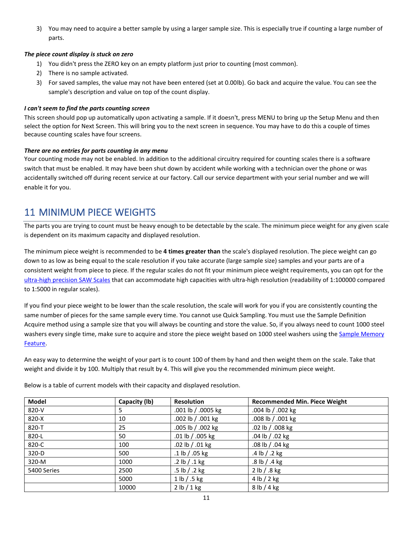3) You may need to acquire a better sample by using a larger sample size. This is especially true if counting a large number of parts.

#### *The piece count display is stuck on zero*

- 1) You didn't press the ZERO key on an empty platform just prior to counting (most common).
- 2) There is no sample activated.
- 3) For saved samples, the value may not have been entered (set at 0.00lb). Go back and acquire the value. You can see the sample's description and value on top of the count display.

#### *I can't seem to find the parts counting screen*

This screen should pop up automatically upon activating a sample. If it doesn't, press MENU to bring up the Setup Menu and then select the option for Next Screen. This will bring you to the next screen in sequence. You may have to do this a couple of times because counting scales have four screens.

#### *There are no entries for parts counting in any menu*

Your counting mode may not be enabled. In addition to the additional circuitry required for counting scales there is a software switch that must be enabled. It may have been shut down by accident while working with a technician over the phone or was accidentally switched off during recent service at our factory. Call our service department with your serial number and we will enable it for you.

## 11 MINIMUM PIECE WEIGHTS

The parts you are trying to count must be heavy enough to be detectable by the scale. The minimum piece weight for any given scale is dependent on its maximum capacity and displayed resolution.

The minimum piece weight is recommended to be **4 times greater than** the scale's displayed resolution. The piece weight can go down to as low as being equal to the scale resolution if you take accurate (large sample size) samples and your parts are of a consistent weight from piece to piece. If the regular scales do not fit your minimum piece weight requirements, you can opt for the [ultra-high precision SAW Scales](http://www.arlynscales.com/ultra-precision-scales/) that can accommodate high capacities with ultra-high resolution (readability of 1:100000 compared to 1:5000 in regular scales).

If you find your piece weight to be lower than the scale resolution, the scale will work for you if you are consistently counting the same number of pieces for the same sample every time. You cannot use Quick Sampling. You must use the Sample Definition Acquire method using a sample size that you will always be counting and store the value. So, if you always need to count 1000 steel washers every single time, make sure to acquire and store the piece weight based on 1000 steel washers using the Sample Memory [Feature.](#page-5-2)

An easy way to determine the weight of your part is to count 100 of them by hand and then weight them on the scale. Take that weight and divide it by 100. Multiply that result by 4. This will give you the recommended minimum piece weight.

Below is a table of current models with their capacity and displayed resolution.

| <b>Model</b> | Capacity (lb) | <b>Resolution</b>  | <b>Recommended Min. Piece Weight</b> |
|--------------|---------------|--------------------|--------------------------------------|
| 820-V        | 5.            | .001 lb / .0005 kg | .004 lb / .002 kg                    |
| $820-X$      | 10            | .002 lb / .001 kg  | .008 lb / .001 kg                    |
| 820-T        | 25            | .005 lb / .002 kg  | .02 lb / .008 kg                     |
| 820-L        | 50            | .01 lb / .005 kg   | .04 lb / .02 kg                      |
| 820-C        | 100           | .02 lb $/$ .01 kg  | .08 lb / .04 kg                      |
| $320-D$      | 500           | .1 lb $/$ .05 kg   | .4 lb $/$ .2 kg                      |
| 320-M        | 1000          | .2 lb $/$ .1 kg    | $.8$ lb $/$ .4 kg                    |
| 5400 Series  | 2500          | $.5$ lb $/ .2$ kg  | 2 lb / .8 kg                         |
|              | 5000          | 1 lb / .5 kg       | 4 lb / 2 kg                          |
|              | 10000         | 2 lb / 1 kg        | 8 lb / 4 kg                          |